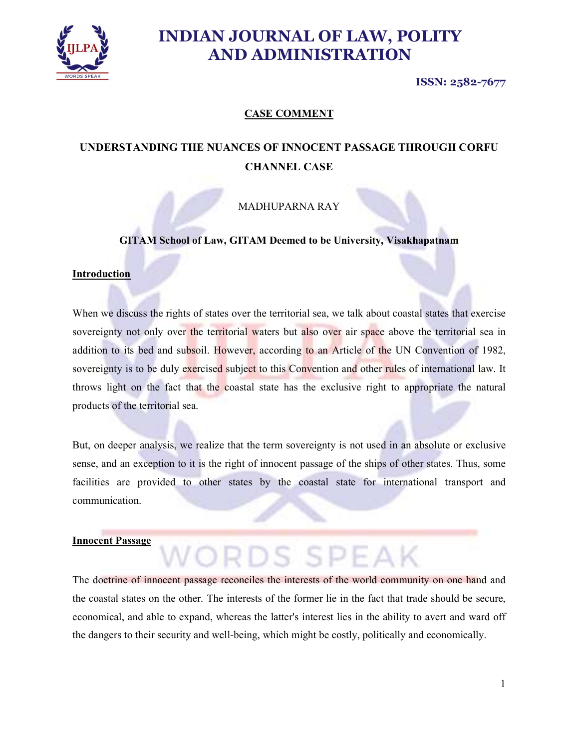

ISSN: 2582-7677

### CASE COMMENT

## UNDERSTANDING THE NUANCES OF INNOCENT PASSAGE THROUGH CORFU CHANNEL CASE

MADHUPARNA RAY

GITAM School of Law, GITAM Deemed to be University, Visakhapatnam

#### Introduction

When we discuss the rights of states over the territorial sea, we talk about coastal states that exercise sovereignty not only over the territorial waters but also over air space above the territorial sea in addition to its bed and subsoil. However, according to an Article of the UN Convention of 1982, sovereignty is to be duly exercised subject to this Convention and other rules of international law. It throws light on the fact that the coastal state has the exclusive right to appropriate the natural products of the territorial sea.

But, on deeper analysis, we realize that the term sovereignty is not used in an absolute or exclusive sense, and an exception to it is the right of innocent passage of the ships of other states. Thus, some facilities are provided to other states by the coastal state for international transport and communication.

# Innocent Passage WORDS SDEAK

The doctrine of innocent passage reconciles the interests of the world community on one hand and the coastal states on the other. The interests of the former lie in the fact that trade should be secure, economical, and able to expand, whereas the latter's interest lies in the ability to avert and ward off the dangers to their security and well-being, which might be costly, politically and economically.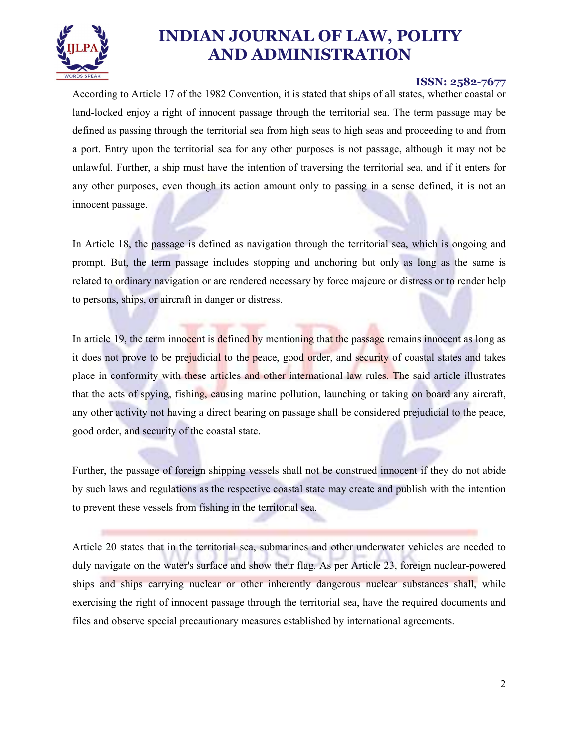

#### ISSN: 2582-7677

According to Article 17 of the 1982 Convention, it is stated that ships of all states, whether coastal or land-locked enjoy a right of innocent passage through the territorial sea. The term passage may be defined as passing through the territorial sea from high seas to high seas and proceeding to and from a port. Entry upon the territorial sea for any other purposes is not passage, although it may not be unlawful. Further, a ship must have the intention of traversing the territorial sea, and if it enters for any other purposes, even though its action amount only to passing in a sense defined, it is not an innocent passage.

In Article 18, the passage is defined as navigation through the territorial sea, which is ongoing and prompt. But, the term passage includes stopping and anchoring but only as long as the same is related to ordinary navigation or are rendered necessary by force majeure or distress or to render help to persons, ships, or aircraft in danger or distress.

In article 19, the term innocent is defined by mentioning that the passage remains innocent as long as it does not prove to be prejudicial to the peace, good order, and security of coastal states and takes place in conformity with these articles and other international law rules. The said article illustrates that the acts of spying, fishing, causing marine pollution, launching or taking on board any aircraft, any other activity not having a direct bearing on passage shall be considered prejudicial to the peace, good order, and security of the coastal state.

Further, the passage of foreign shipping vessels shall not be construed innocent if they do not abide by such laws and regulations as the respective coastal state may create and publish with the intention to prevent these vessels from fishing in the territorial sea.

Article 20 states that in the territorial sea, submarines and other underwater vehicles are needed to duly navigate on the water's surface and show their flag. As per Article 23, foreign nuclear-powered ships and ships carrying nuclear or other inherently dangerous nuclear substances shall, while exercising the right of innocent passage through the territorial sea, have the required documents and files and observe special precautionary measures established by international agreements.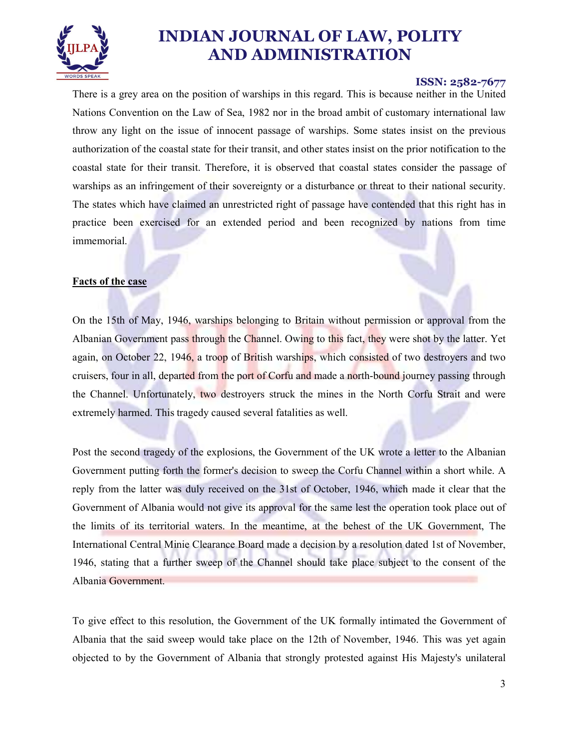

#### ISSN: 2582-7677

There is a grey area on the position of warships in this regard. This is because neither in the United Nations Convention on the Law of Sea, 1982 nor in the broad ambit of customary international law throw any light on the issue of innocent passage of warships. Some states insist on the previous authorization of the coastal state for their transit, and other states insist on the prior notification to the coastal state for their transit. Therefore, it is observed that coastal states consider the passage of warships as an infringement of their sovereignty or a disturbance or threat to their national security. The states which have claimed an unrestricted right of passage have contended that this right has in practice been exercised for an extended period and been recognized by nations from time immemorial.

#### Facts of the case

On the 15th of May, 1946, warships belonging to Britain without permission or approval from the Albanian Government pass through the Channel. Owing to this fact, they were shot by the latter. Yet again, on October 22, 1946, a troop of British warships, which consisted of two destroyers and two cruisers, four in all, departed from the port of Corfu and made a north-bound journey passing through the Channel. Unfortunately, two destroyers struck the mines in the North Corfu Strait and were extremely harmed. This tragedy caused several fatalities as well.

Post the second tragedy of the explosions, the Government of the UK wrote a letter to the Albanian Government putting forth the former's decision to sweep the Corfu Channel within a short while. A reply from the latter was duly received on the 31st of October, 1946, which made it clear that the Government of Albania would not give its approval for the same lest the operation took place out of the limits of its territorial waters. In the meantime, at the behest of the UK Government, The International Central Minie Clearance Board made a decision by a resolution dated 1st of November, 1946, stating that a further sweep of the Channel should take place subject to the consent of the Albania Government.

To give effect to this resolution, the Government of the UK formally intimated the Government of Albania that the said sweep would take place on the 12th of November, 1946. This was yet again objected to by the Government of Albania that strongly protested against His Majesty's unilateral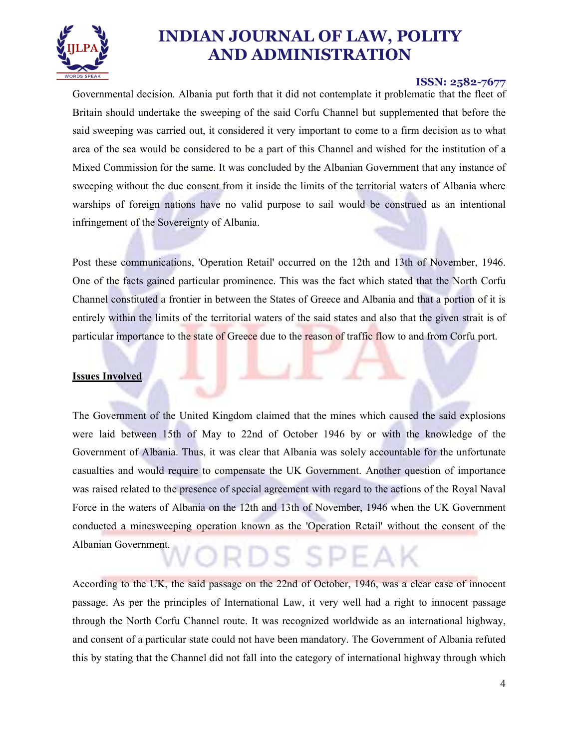

#### ISSN: 2582-7677

Governmental decision. Albania put forth that it did not contemplate it problematic that the fleet of Britain should undertake the sweeping of the said Corfu Channel but supplemented that before the said sweeping was carried out, it considered it very important to come to a firm decision as to what area of the sea would be considered to be a part of this Channel and wished for the institution of a Mixed Commission for the same. It was concluded by the Albanian Government that any instance of sweeping without the due consent from it inside the limits of the territorial waters of Albania where warships of foreign nations have no valid purpose to sail would be construed as an intentional infringement of the Sovereignty of Albania.

Post these communications, 'Operation Retail' occurred on the 12th and 13th of November, 1946. One of the facts gained particular prominence. This was the fact which stated that the North Corfu Channel constituted a frontier in between the States of Greece and Albania and that a portion of it is entirely within the limits of the territorial waters of the said states and also that the given strait is of particular importance to the state of Greece due to the reason of traffic flow to and from Corfu port.

#### Issues Involved

The Government of the United Kingdom claimed that the mines which caused the said explosions were laid between 15th of May to 22nd of October 1946 by or with the knowledge of the Government of Albania. Thus, it was clear that Albania was solely accountable for the unfortunate casualties and would require to compensate the UK Government. Another question of importance was raised related to the presence of special agreement with regard to the actions of the Royal Naval Force in the waters of Albania on the 12th and 13th of November, 1946 when the UK Government conducted a minesweeping operation known as the 'Operation Retail' without the consent of the Albanian Government.<br>
WORDS SPEAK

According to the UK, the said passage on the 22nd of October, 1946, was a clear case of innocent passage. As per the principles of International Law, it very well had a right to innocent passage through the North Corfu Channel route. It was recognized worldwide as an international highway, and consent of a particular state could not have been mandatory. The Government of Albania refuted this by stating that the Channel did not fall into the category of international highway through which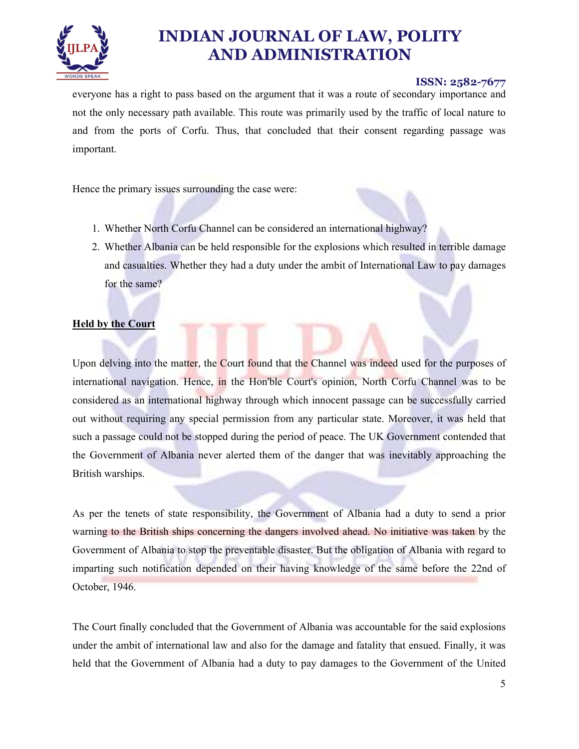

#### ISSN: 2582-7677

everyone has a right to pass based on the argument that it was a route of secondary importance and not the only necessary path available. This route was primarily used by the traffic of local nature to and from the ports of Corfu. Thus, that concluded that their consent regarding passage was important.

Hence the primary issues surrounding the case were:

- 1. Whether North Corfu Channel can be considered an international highway?
- 2. Whether Albania can be held responsible for the explosions which resulted in terrible damage and casualties. Whether they had a duty under the ambit of International Law to pay damages for the same?

#### **Held by the Court**

Upon delving into the matter, the Court found that the Channel was indeed used for the purposes of international navigation. Hence, in the Hon'ble Court's opinion, North Corfu Channel was to be considered as an international highway through which innocent passage can be successfully carried out without requiring any special permission from any particular state. Moreover, it was held that such a passage could not be stopped during the period of peace. The UK Government contended that the Government of Albania never alerted them of the danger that was inevitably approaching the British warships.

As per the tenets of state responsibility, the Government of Albania had a duty to send a prior warning to the British ships concerning the dangers involved ahead. No initiative was taken by the Government of Albania to stop the preventable disaster. But the obligation of Albania with regard to imparting such notification depended on their having knowledge of the same before the 22nd of October, 1946.

The Court finally concluded that the Government of Albania was accountable for the said explosions under the ambit of international law and also for the damage and fatality that ensued. Finally, it was held that the Government of Albania had a duty to pay damages to the Government of the United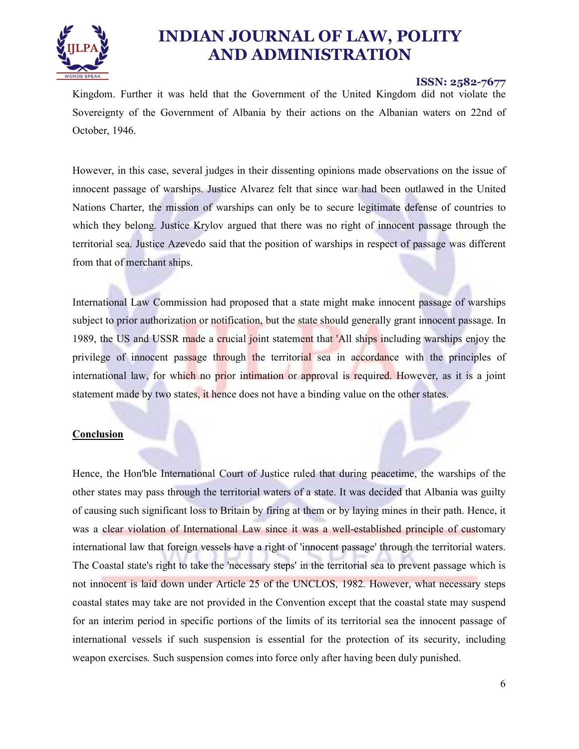

#### ISSN: 2582-7677

Kingdom. Further it was held that the Government of the United Kingdom did not violate the Sovereignty of the Government of Albania by their actions on the Albanian waters on 22nd of October, 1946.

However, in this case, several judges in their dissenting opinions made observations on the issue of innocent passage of warships. Justice Alvarez felt that since war had been outlawed in the United Nations Charter, the mission of warships can only be to secure legitimate defense of countries to which they belong. Justice Krylov argued that there was no right of innocent passage through the territorial sea. Justice Azevedo said that the position of warships in respect of passage was different from that of merchant ships.

International Law Commission had proposed that a state might make innocent passage of warships subject to prior authorization or notification, but the state should generally grant innocent passage. In 1989, the US and USSR made a crucial joint statement that 'All ships including warships enjoy the privilege of innocent passage through the territorial sea in accordance with the principles of international law, for which no prior intimation or approval is required. However, as it is a joint statement made by two states, it hence does not have a binding value on the other states.

#### Conclusion

Hence, the Hon'ble International Court of Justice ruled that during peacetime, the warships of the other states may pass through the territorial waters of a state. It was decided that Albania was guilty of causing such significant loss to Britain by firing at them or by laying mines in their path. Hence, it was a clear violation of International Law since it was a well-established principle of customary international law that foreign vessels have a right of 'innocent passage' through the territorial waters. The Coastal state's right to take the 'necessary steps' in the territorial sea to prevent passage which is not innocent is laid down under Article 25 of the UNCLOS, 1982. However, what necessary steps coastal states may take are not provided in the Convention except that the coastal state may suspend for an interim period in specific portions of the limits of its territorial sea the innocent passage of international vessels if such suspension is essential for the protection of its security, including weapon exercises. Such suspension comes into force only after having been duly punished.